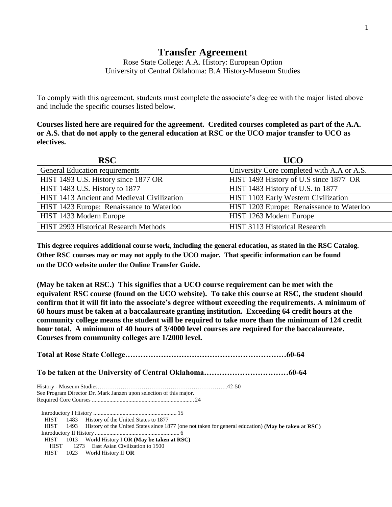## **Transfer Agreement**

Rose State College: A.A. History: European Option University of Central Oklahoma: B.A History-Museum Studies

To comply with this agreement, students must complete the associate's degree with the major listed above and include the specific courses listed below.

**Courses listed here are required for the agreement. Credited courses completed as part of the A.A. or A.S. that do not apply to the general education at RSC or the UCO major transfer to UCO as electives.**

| <b>RSC</b>                                   | <b>UCO</b>                                 |
|----------------------------------------------|--------------------------------------------|
| General Education requirements               | University Core completed with A.A or A.S. |
| HIST 1493 U.S. History since 1877 OR         | HIST 1493 History of U.S since 1877 OR     |
| HIST 1483 U.S. History to 1877               | HIST 1483 History of U.S. to 1877          |
| HIST 1413 Ancient and Medieval Civilization  | HIST 1103 Early Western Civilization       |
| HIST 1423 Europe: Renaissance to Waterloo    | HIST 1203 Europe: Renaissance to Waterloo  |
| HIST 1433 Modern Europe                      | HIST 1263 Modern Europe                    |
| <b>HIST 2993 Historical Research Methods</b> | HIST 3113 Historical Research              |

**This degree requires additional course work, including the general education, as stated in the RSC Catalog. Other RSC courses may or may not apply to the UCO major. That specific information can be found on the UCO website under the Online Transfer Guide.**

**(May be taken at RSC.) This signifies that a UCO course requirement can be met with the equivalent RSC course (found on the UCO website). To take this course at RSC, the student should confirm that it will fit into the associate's degree without exceeding the requirements. A minimum of 60 hours must be taken at a baccalaureate granting institution. Exceeding 64 credit hours at the community college means the student will be required to take more than the minimum of 124 credit hour total. A minimum of 40 hours of 3/4000 level courses are required for the baccalaureate. Courses from community colleges are 1/2000 level.**

**Total at Rose State College………………………………………………………60-64 To be taken at the University of Central Oklahoma……………………………60-64** History - Museum Studies…………………………………………………………..42-50 See Program Director Dr. Mark Janzen upon selection of this major. Required Core Courses ...................................................................... 24 Introductory I History ......................................................... 15 HIST 1483 History of the United States to 1877 HIST 1493 History of the United States since 1877 (one not taken for general education) **(May be taken at RSC)** Introductory II History .......................................................... 6 HIST 1013 World History I **OR (May be taken at RSC)** HIST 1273 East Asian Civilization to 1500 HIST 1023 World History II **OR**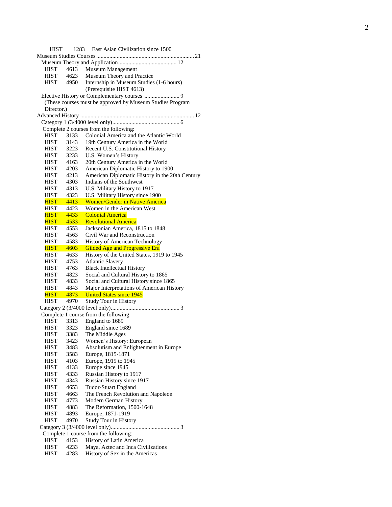| HIST                       | 1283         | East Asian Civilization since 1500                                           |
|----------------------------|--------------|------------------------------------------------------------------------------|
|                            |              |                                                                              |
|                            |              |                                                                              |
| HIST                       | 4613         | Museum Management                                                            |
| HIST                       | 4623         | Museum Theory and Practice                                                   |
| HIST                       | 4950         | Internship in Museum Studies (1-6 hours)                                     |
|                            |              | (Prerequisite HIST 4613)                                                     |
|                            |              |                                                                              |
|                            |              | (These courses must be approved by Museum Studies Program                    |
| Director.)                 |              |                                                                              |
|                            |              |                                                                              |
|                            |              |                                                                              |
|                            |              | Complete 2 courses from the following:                                       |
| <b>HIST</b>                | 3133         | Colonial America and the Atlantic World                                      |
| <b>HIST</b>                | 3143         | 19th Century America in the World                                            |
| HIST                       | 3223         | Recent U.S. Constitutional History                                           |
| HIST                       | 3233         | U.S. Women's History                                                         |
| HIST                       | 4163         | 20th Century America in the World                                            |
| <b>HIST</b>                | 4203         | American Diplomatic History to 1900                                          |
| <b>HIST</b>                | 4213         | American Diplomatic History in the 20th Century                              |
| <b>HIST</b>                | 4303         | Indians of the Southwest                                                     |
| <b>HIST</b>                | 4313         | U.S. Military History to 1917                                                |
| <b>HIST</b>                | 4323         | U.S. Military History since 1900                                             |
| <b>HIST</b>                | 4413         | <b>Women/Gender in Native America</b>                                        |
| <b>HIST</b>                | 4423         | Women in the American West                                                   |
| <b>HIST</b>                | 4433         | <b>Colonial America</b>                                                      |
| <b>HIST</b>                | 4533         | <b>Revolutional America</b>                                                  |
| HIST                       | 4553         | Jacksonian America, 1815 to 1848                                             |
| HIST                       | 4563         | Civil War and Reconstruction                                                 |
| <b>HIST</b>                | 4583         | History of American Technology                                               |
| <b>HIST</b>                | 4603         | Gilded Age and Progressive Era<br>History of the United States, 1919 to 1945 |
| <b>HIST</b><br><b>HIST</b> | 4633<br>4753 | <b>Atlantic Slavery</b>                                                      |
| <b>HIST</b>                | 4763         | <b>Black Intellectual History</b>                                            |
| HIST                       | 4823         | Social and Cultural History to 1865                                          |
| <b>HIST</b>                | 4833         | Social and Cultural History since 1865                                       |
| <b>HIST</b>                | 4843         | Major Interpretations of American History                                    |
| <b>HIST</b>                | 4873         | <b>United States since 1945</b>                                              |
| <b>HIST</b>                | 4970         | Study Tour in History                                                        |
|                            |              |                                                                              |
|                            |              | Complete 1 course from the following:                                        |
| <b>HIST</b>                | 3313         | England to 1689                                                              |
| HIST                       | 3323         | England since 1689                                                           |
| <b>HIST</b>                | 3383         | The Middle Ages                                                              |
| HIST                       | 3423         | Women's History: European                                                    |
| <b>HIST</b>                | 3483         | Absolutism and Enlightenment in Europe                                       |
| HIST                       | 3583         | Europe, 1815-1871                                                            |
| HIST                       | 4103         | Europe, 1919 to 1945                                                         |
| <b>HIST</b>                | 4133         | Europe since 1945                                                            |
| HIST                       | 4333         | Russian History to 1917                                                      |
| <b>HIST</b>                | 4343         | Russian History since 1917                                                   |
| HIST                       | 4653         | Tudor-Stuart England                                                         |
| HIST                       | 4663         | The French Revolution and Napoleon                                           |
| HIST                       | 4773         | Modern German History                                                        |
| HIST                       | 4883         | The Reformation, 1500-1648                                                   |
| HIST                       | 4893         | Europe, 1871-1919                                                            |
| <b>HIST</b>                | 4970         | <b>Study Tour in History</b>                                                 |
|                            |              |                                                                              |
|                            |              | Complete 1 course from the following:                                        |
| <b>HIST</b>                | 4153         | History of Latin America                                                     |
| <b>HIST</b>                | 4233         | Maya, Aztec and Inca Civilizations                                           |
| <b>HIST</b>                | 4283         | History of Sex in the Americas                                               |